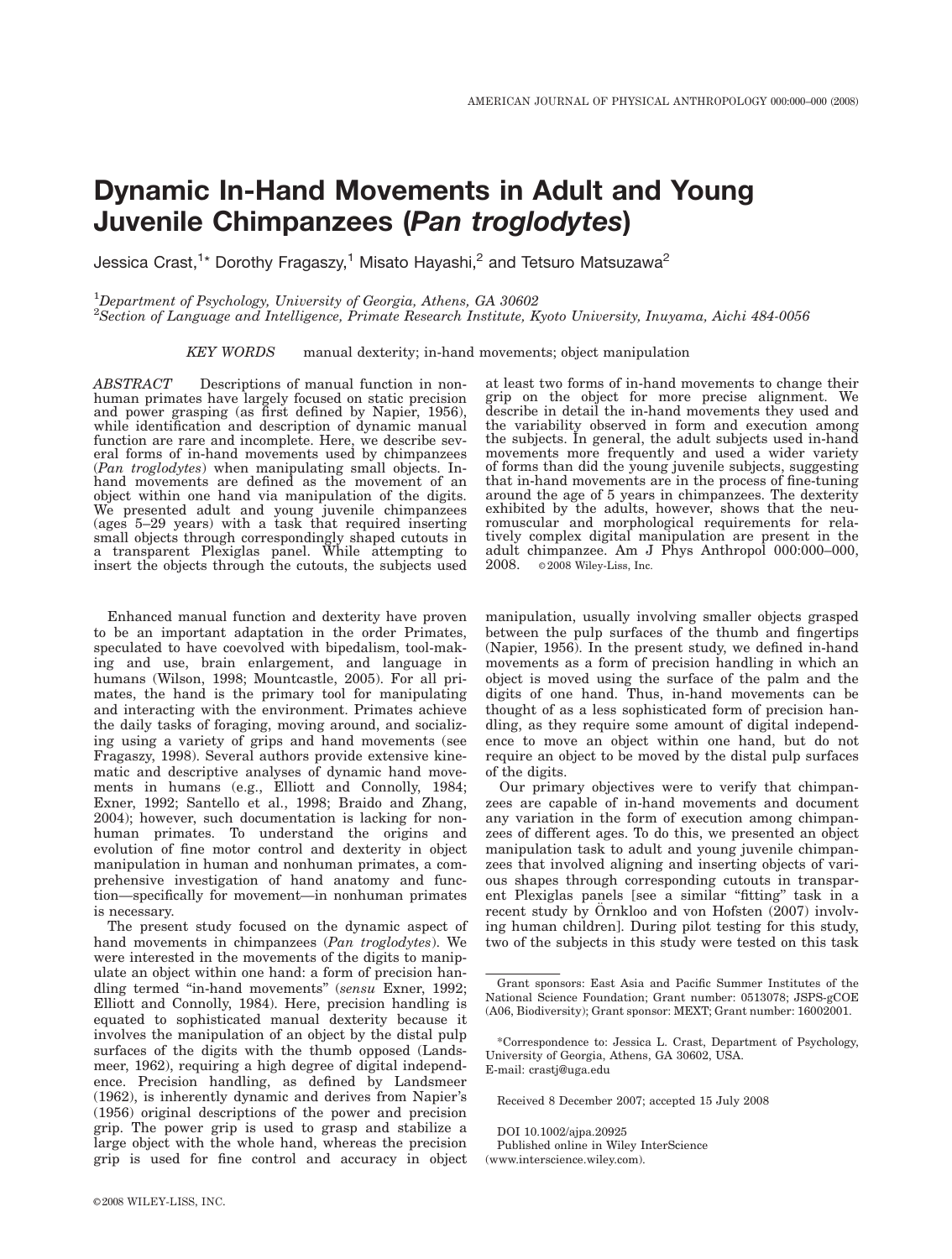# Dynamic In-Hand Movements in Adult and Young Juvenile Chimpanzees (Pan troglodytes)

Jessica Crast,<sup>1</sup>\* Dorothy Fragaszy,<sup>1</sup> Misato Hayashi,<sup>2</sup> and Tetsuro Matsuzawa<sup>2</sup>

<sup>1</sup>Department of Psychology, University of Georgia, Athens, GA 30602

2 Section of Language and Intelligence, Primate Research Institute, Kyoto University, Inuyama, Aichi 484-0056

KEY WORDS manual dexterity; in-hand movements; object manipulation

ABSTRACT Descriptions of manual function in nonhuman primates have largely focused on static precision and power grasping (as first defined by Napier, 1956), while identification and description of dynamic manual function are rare and incomplete. Here, we describe several forms of in-hand movements used by chimpanzees (Pan troglodytes) when manipulating small objects. Inhand movements are defined as the movement of an object within one hand via manipulation of the digits. We presented adult and young juvenile chimpanzees (ages 5–29 years) with a task that required inserting small objects through correspondingly shaped cutouts in a transparent Plexiglas panel. While attempting to insert the objects through the cutouts, the subjects used

Enhanced manual function and dexterity have proven to be an important adaptation in the order Primates, speculated to have coevolved with bipedalism, tool-making and use, brain enlargement, and language in humans (Wilson, 1998; Mountcastle, 2005). For all primates, the hand is the primary tool for manipulating and interacting with the environment. Primates achieve the daily tasks of foraging, moving around, and socializing using a variety of grips and hand movements (see Fragaszy, 1998). Several authors provide extensive kinematic and descriptive analyses of dynamic hand movements in humans (e.g., Elliott and Connolly, 1984; Exner, 1992; Santello et al., 1998; Braido and Zhang, 2004); however, such documentation is lacking for nonhuman primates. To understand the origins and evolution of fine motor control and dexterity in object manipulation in human and nonhuman primates, a comprehensive investigation of hand anatomy and function—specifically for movement—in nonhuman primates is necessary.

The present study focused on the dynamic aspect of hand movements in chimpanzees (Pan troglodytes). We were interested in the movements of the digits to manipulate an object within one hand: a form of precision handling termed "in-hand movements" (sensu Exner, 1992; Elliott and Connolly, 1984). Here, precision handling is equated to sophisticated manual dexterity because it involves the manipulation of an object by the distal pulp surfaces of the digits with the thumb opposed (Landsmeer, 1962), requiring a high degree of digital independence. Precision handling, as defined by Landsmeer (1962), is inherently dynamic and derives from Napier's (1956) original descriptions of the power and precision grip. The power grip is used to grasp and stabilize a large object with the whole hand, whereas the precision grip is used for fine control and accuracy in object at least two forms of in-hand movements to change their grip on the object for more precise alignment. We describe in detail the in-hand movements they used and the variability observed in form and execution among the subjects. In general, the adult subjects used in-hand movements more frequently and used a wider variety of forms than did the young juvenile subjects, suggesting that in-hand movements are in the process of fine-tuning around the age of 5 years in chimpanzees. The dexterity exhibited by the adults, however, shows that the neuromuscular and morphological requirements for relatively complex digital manipulation are present in the adult chimpanzee. Am J Phys Anthropol 000:000–000,  $2008.$  ©  $2008$  Wiley-Liss, Inc.

manipulation, usually involving smaller objects grasped between the pulp surfaces of the thumb and fingertips (Napier, 1956). In the present study, we defined in-hand movements as a form of precision handling in which an object is moved using the surface of the palm and the digits of one hand. Thus, in-hand movements can be thought of as a less sophisticated form of precision handling, as they require some amount of digital independence to move an object within one hand, but do not require an object to be moved by the distal pulp surfaces of the digits.

Our primary objectives were to verify that chimpanzees are capable of in-hand movements and document any variation in the form of execution among chimpanzees of different ages. To do this, we presented an object manipulation task to adult and young juvenile chimpanzees that involved aligning and inserting objects of various shapes through corresponding cutouts in transparent Plexiglas panels [see a similar ''fitting'' task in a recent study by Örnkloo and von Hofsten  $(2007)$  involving human children]. During pilot testing for this study, two of the subjects in this study were tested on this task

Received 8 December 2007; accepted 15 July 2008

DOI 10.1002/ajpa.20925 Published online in Wiley InterScience (www.interscience.wiley.com).

Grant sponsors: East Asia and Pacific Summer Institutes of the National Science Foundation; Grant number: 0513078; JSPS-gCOE (A06, Biodiversity); Grant sponsor: MEXT; Grant number: 16002001.

<sup>\*</sup>Correspondence to: Jessica L. Crast, Department of Psychology, University of Georgia, Athens, GA 30602, USA. E-mail: crastj@uga.edu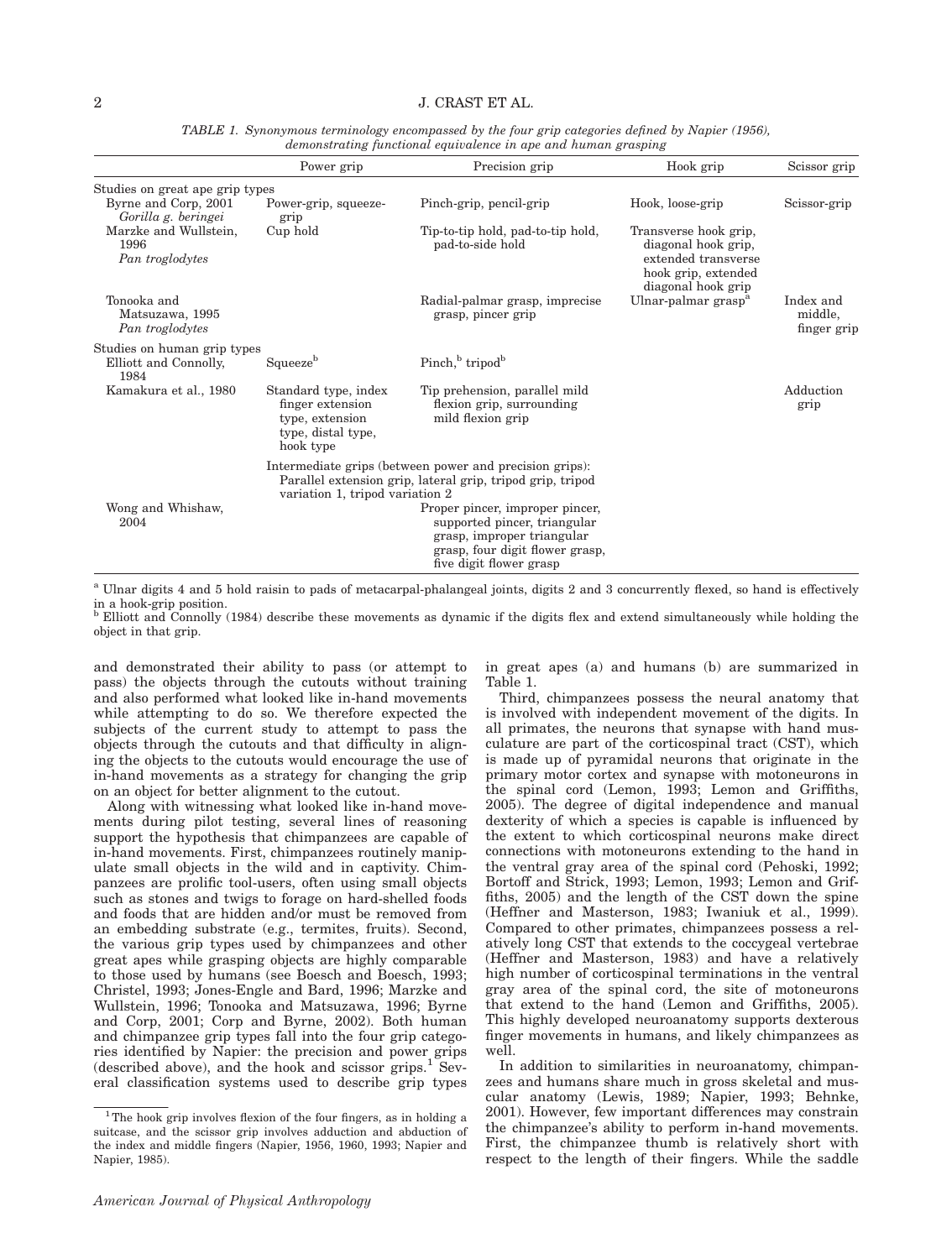|                                                              | Power grip                                                                                                                                               | Precision grip                                                                                                                                              | Hook grip                                                                                                        | Scissor grip                        |
|--------------------------------------------------------------|----------------------------------------------------------------------------------------------------------------------------------------------------------|-------------------------------------------------------------------------------------------------------------------------------------------------------------|------------------------------------------------------------------------------------------------------------------|-------------------------------------|
| Studies on great ape grip types                              |                                                                                                                                                          |                                                                                                                                                             |                                                                                                                  |                                     |
| Byrne and Corp, 2001<br>Gorilla g. beringei                  | Power-grip, squeeze-<br>grip                                                                                                                             | Pinch-grip, pencil-grip                                                                                                                                     | Hook, loose-grip                                                                                                 | Scissor-grip                        |
| Marzke and Wullstein,<br>1996<br>Pan troglodytes             | Cup hold                                                                                                                                                 | Tip-to-tip hold, pad-to-tip hold,<br>pad-to-side hold                                                                                                       | Transverse hook grip,<br>diagonal hook grip,<br>extended transverse<br>hook grip, extended<br>diagonal hook grip |                                     |
| Tonooka and<br>Matsuzawa, 1995<br>Pan troglodytes            |                                                                                                                                                          | Radial-palmar grasp, imprecise<br>grasp, pincer grip                                                                                                        | Ulnar-palmar grasp <sup>a</sup>                                                                                  | Index and<br>middle,<br>finger grip |
| Studies on human grip types<br>Elliott and Connolly,<br>1984 | Squeeze <sup>b</sup>                                                                                                                                     | Pinch, <sup>b</sup> tripod <sup>b</sup>                                                                                                                     |                                                                                                                  |                                     |
| Kamakura et al., 1980                                        | Standard type, index<br>finger extension<br>type, extension<br>type, distal type,<br>hook type                                                           | Tip prehension, parallel mild<br>flexion grip, surrounding<br>mild flexion grip                                                                             |                                                                                                                  | Adduction<br>grip                   |
|                                                              | Intermediate grips (between power and precision grips):<br>Parallel extension grip, lateral grip, tripod grip, tripod<br>variation 1, tripod variation 2 |                                                                                                                                                             |                                                                                                                  |                                     |
| Wong and Whishaw,<br>2004                                    |                                                                                                                                                          | Proper pincer, improper pincer,<br>supported pincer, triangular<br>grasp, improper triangular<br>grasp, four digit flower grasp,<br>five digit flower grasp |                                                                                                                  |                                     |

TABLE 1. Synonymous terminology encompassed by the four grip categories defined by Napier (1956), demonstrating functional equivalence in ape and human grasping

<sup>a</sup> Ulnar digits 4 and 5 hold raisin to pads of metacarpal-phalangeal joints, digits 2 and 3 concurrently flexed, so hand is effectively in a hook-grip position.<br><sup>b</sup> Elliott and Connolly (1984) describe these movements as dynamic if the digits flex and extend simultaneously while holding the

object in that grip.

and demonstrated their ability to pass (or attempt to pass) the objects through the cutouts without training and also performed what looked like in-hand movements while attempting to do so. We therefore expected the subjects of the current study to attempt to pass the objects through the cutouts and that difficulty in aligning the objects to the cutouts would encourage the use of in-hand movements as a strategy for changing the grip on an object for better alignment to the cutout.

Along with witnessing what looked like in-hand movements during pilot testing, several lines of reasoning support the hypothesis that chimpanzees are capable of in-hand movements. First, chimpanzees routinely manipulate small objects in the wild and in captivity. Chimpanzees are prolific tool-users, often using small objects such as stones and twigs to forage on hard-shelled foods and foods that are hidden and/or must be removed from an embedding substrate (e.g., termites, fruits). Second, the various grip types used by chimpanzees and other great apes while grasping objects are highly comparable to those used by humans (see Boesch and Boesch, 1993; Christel, 1993; Jones-Engle and Bard, 1996; Marzke and Wullstein, 1996; Tonooka and Matsuzawa, 1996; Byrne and Corp, 2001; Corp and Byrne, 2002). Both human and chimpanzee grip types fall into the four grip categories identified by Napier: the precision and power grips (described above), and the hook and scissor  $\text{grips.}^1$  Several classification systems used to describe grip types in great apes (a) and humans (b) are summarized in Table 1.

Third, chimpanzees possess the neural anatomy that is involved with independent movement of the digits. In all primates, the neurons that synapse with hand musculature are part of the corticospinal tract (CST), which is made up of pyramidal neurons that originate in the primary motor cortex and synapse with motoneurons in the spinal cord (Lemon, 1993; Lemon and Griffiths, 2005). The degree of digital independence and manual dexterity of which a species is capable is influenced by the extent to which corticospinal neurons make direct connections with motoneurons extending to the hand in the ventral gray area of the spinal cord (Pehoski, 1992; Bortoff and Strick, 1993; Lemon, 1993; Lemon and Griffiths, 2005) and the length of the CST down the spine (Heffner and Masterson, 1983; Iwaniuk et al., 1999). Compared to other primates, chimpanzees possess a relatively long CST that extends to the coccygeal vertebrae (Heffner and Masterson, 1983) and have a relatively high number of corticospinal terminations in the ventral gray area of the spinal cord, the site of motoneurons that extend to the hand (Lemon and Griffiths, 2005). This highly developed neuroanatomy supports dexterous finger movements in humans, and likely chimpanzees as well.

In addition to similarities in neuroanatomy, chimpanzees and humans share much in gross skeletal and muscular anatomy (Lewis, 1989; Napier, 1993; Behnke, 2001). However, few important differences may constrain the chimpanzee's ability to perform in-hand movements. First, the chimpanzee thumb is relatively short with respect to the length of their fingers. While the saddle

<sup>&</sup>lt;sup>1</sup>The hook grip involves flexion of the four fingers, as in holding a suitcase, and the scissor grip involves adduction and abduction of the index and middle fingers (Napier, 1956, 1960, 1993; Napier and Napier, 1985).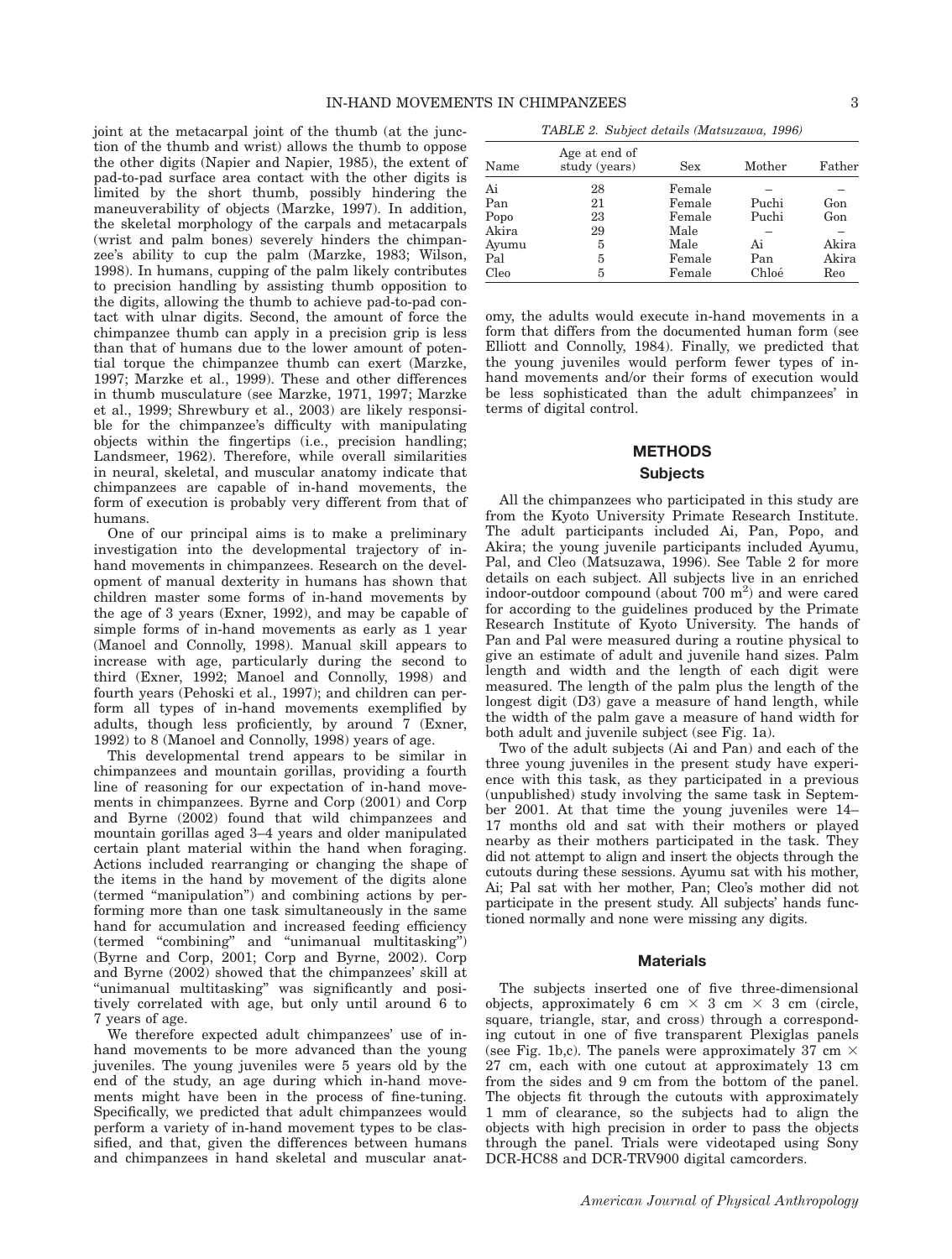joint at the metacarpal joint of the thumb (at the junction of the thumb and wrist) allows the thumb to oppose the other digits (Napier and Napier, 1985), the extent of pad-to-pad surface area contact with the other digits is limited by the short thumb, possibly hindering the maneuverability of objects (Marzke, 1997). In addition, the skeletal morphology of the carpals and metacarpals (wrist and palm bones) severely hinders the chimpanzee's ability to cup the palm (Marzke, 1983; Wilson, 1998). In humans, cupping of the palm likely contributes to precision handling by assisting thumb opposition to the digits, allowing the thumb to achieve pad-to-pad contact with ulnar digits. Second, the amount of force the chimpanzee thumb can apply in a precision grip is less than that of humans due to the lower amount of potential torque the chimpanzee thumb can exert (Marzke, 1997; Marzke et al., 1999). These and other differences in thumb musculature (see Marzke, 1971, 1997; Marzke et al., 1999; Shrewbury et al., 2003) are likely responsible for the chimpanzee's difficulty with manipulating objects within the fingertips (i.e., precision handling; Landsmeer, 1962). Therefore, while overall similarities in neural, skeletal, and muscular anatomy indicate that chimpanzees are capable of in-hand movements, the form of execution is probably very different from that of humans.

One of our principal aims is to make a preliminary investigation into the developmental trajectory of inhand movements in chimpanzees. Research on the development of manual dexterity in humans has shown that children master some forms of in-hand movements by the age of 3 years (Exner, 1992), and may be capable of simple forms of in-hand movements as early as 1 year (Manoel and Connolly, 1998). Manual skill appears to increase with age, particularly during the second to third (Exner, 1992; Manoel and Connolly, 1998) and fourth years (Pehoski et al., 1997); and children can perform all types of in-hand movements exemplified by adults, though less proficiently, by around 7 (Exner, 1992) to 8 (Manoel and Connolly, 1998) years of age.

This developmental trend appears to be similar in chimpanzees and mountain gorillas, providing a fourth line of reasoning for our expectation of in-hand movements in chimpanzees. Byrne and Corp (2001) and Corp and Byrne (2002) found that wild chimpanzees and mountain gorillas aged 3–4 years and older manipulated certain plant material within the hand when foraging. Actions included rearranging or changing the shape of the items in the hand by movement of the digits alone (termed ''manipulation'') and combining actions by performing more than one task simultaneously in the same hand for accumulation and increased feeding efficiency (termed "combining" and "unimanual multitasking") (Byrne and Corp, 2001; Corp and Byrne, 2002). Corp and Byrne (2002) showed that the chimpanzees' skill at "unimanual multitasking" was significantly and positively correlated with age, but only until around 6 to 7 years of age.

We therefore expected adult chimpanzees' use of inhand movements to be more advanced than the young juveniles. The young juveniles were 5 years old by the end of the study, an age during which in-hand movements might have been in the process of fine-tuning. Specifically, we predicted that adult chimpanzees would perform a variety of in-hand movement types to be classified, and that, given the differences between humans and chimpanzees in hand skeletal and muscular anat-

| Name                                | Age at end of<br>study (years) | <b>Sex</b>                                 | Mother               | Father              |
|-------------------------------------|--------------------------------|--------------------------------------------|----------------------|---------------------|
| Ai<br>Pan<br>Popo<br>Akira<br>Ayumu | 28<br>21<br>23<br>29<br>5      | Female<br>Female<br>Female<br>Male<br>Male | Puchi<br>Puchi<br>Ai | Gon<br>Gon<br>Akira |
| Pal<br>Cleo                         | 5<br>5                         | Female<br>Female                           | Pan<br>Chloé         | Akira<br>Reo        |

omy, the adults would execute in-hand movements in a form that differs from the documented human form (see Elliott and Connolly, 1984). Finally, we predicted that the young juveniles would perform fewer types of inhand movements and/or their forms of execution would be less sophisticated than the adult chimpanzees' in terms of digital control.

# METHODS

### Subjects

All the chimpanzees who participated in this study are from the Kyoto University Primate Research Institute. The adult participants included Ai, Pan, Popo, and Akira; the young juvenile participants included Ayumu, Pal, and Cleo (Matsuzawa, 1996). See Table 2 for more details on each subject. All subjects live in an enriched indoor-outdoor compound (about 700 m<sup>2</sup>) and were cared for according to the guidelines produced by the Primate Research Institute of Kyoto University. The hands of Pan and Pal were measured during a routine physical to give an estimate of adult and juvenile hand sizes. Palm length and width and the length of each digit were measured. The length of the palm plus the length of the longest digit (D3) gave a measure of hand length, while the width of the palm gave a measure of hand width for both adult and juvenile subject (see Fig. 1a).

Two of the adult subjects (Ai and Pan) and each of the three young juveniles in the present study have experience with this task, as they participated in a previous (unpublished) study involving the same task in September 2001. At that time the young juveniles were 14– 17 months old and sat with their mothers or played nearby as their mothers participated in the task. They did not attempt to align and insert the objects through the cutouts during these sessions. Ayumu sat with his mother, Ai; Pal sat with her mother, Pan; Cleo's mother did not participate in the present study. All subjects' hands functioned normally and none were missing any digits.

### **Materials**

The subjects inserted one of five three-dimensional objects, approximately 6 cm  $\times$  3 cm  $\times$  3 cm (circle, square, triangle, star, and cross) through a corresponding cutout in one of five transparent Plexiglas panels (see Fig. 1b,c). The panels were approximately 37 cm  $\times$ 27 cm, each with one cutout at approximately 13 cm from the sides and 9 cm from the bottom of the panel. The objects fit through the cutouts with approximately 1 mm of clearance, so the subjects had to align the objects with high precision in order to pass the objects through the panel. Trials were videotaped using Sony DCR-HC88 and DCR-TRV900 digital camcorders.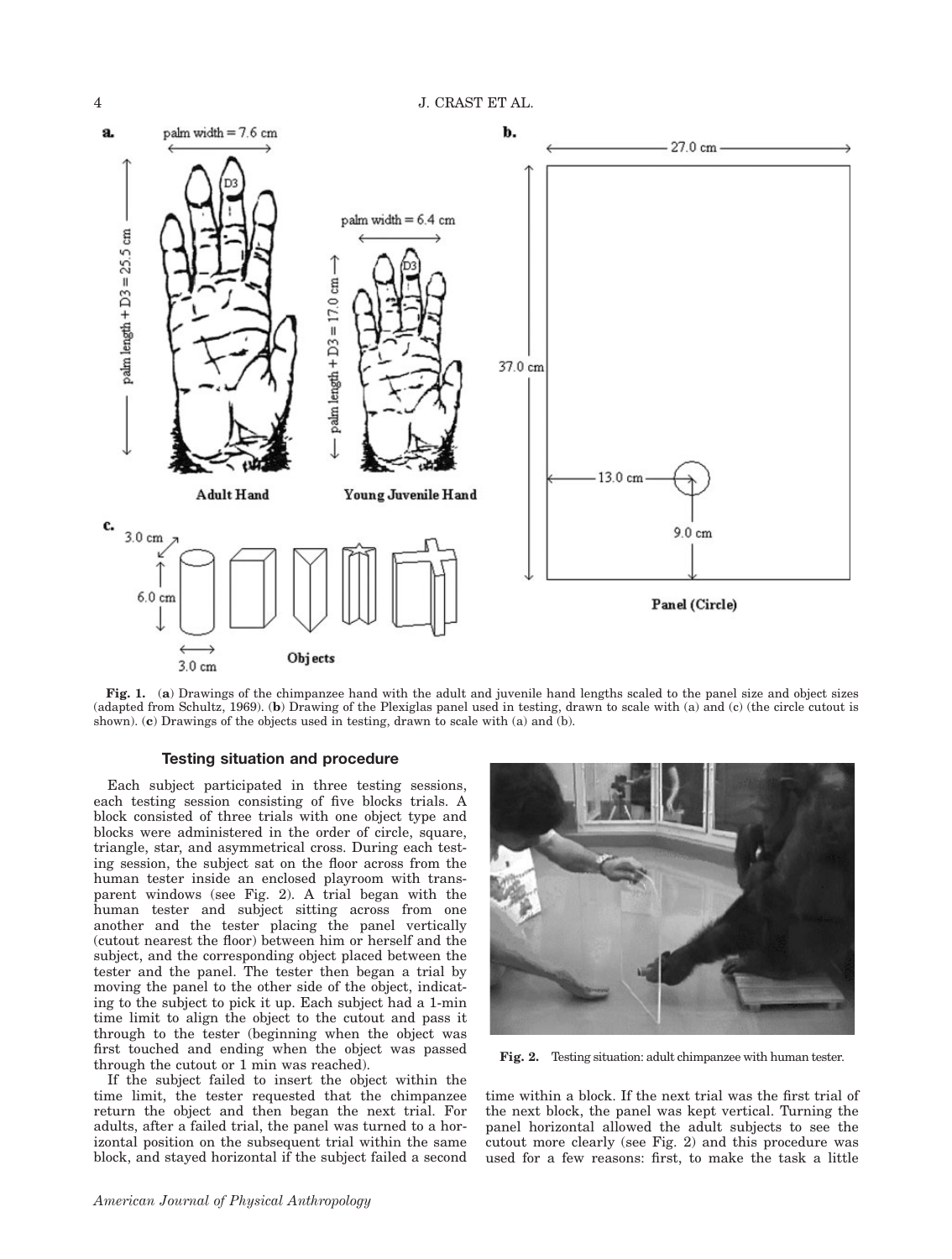

Fig. 1. (a) Drawings of the chimpanzee hand with the adult and juvenile hand lengths scaled to the panel size and object sizes (adapted from Schultz, 1969). (b) Drawing of the Plexiglas panel used in testing, drawn to scale with (a) and (c) (the circle cutout is shown). (c) Drawings of the objects used in testing, drawn to scale with (a) and (b).

# Testing situation and procedure

Each subject participated in three testing sessions, each testing session consisting of five blocks trials. A block consisted of three trials with one object type and blocks were administered in the order of circle, square, triangle, star, and asymmetrical cross. During each testing session, the subject sat on the floor across from the human tester inside an enclosed playroom with transparent windows (see Fig. 2). A trial began with the human tester and subject sitting across from one another and the tester placing the panel vertically (cutout nearest the floor) between him or herself and the subject, and the corresponding object placed between the tester and the panel. The tester then began a trial by moving the panel to the other side of the object, indicating to the subject to pick it up. Each subject had a 1-min time limit to align the object to the cutout and pass it through to the tester (beginning when the object was first touched and ending when the object was passed through the cutout or 1 min was reached).

If the subject failed to insert the object within the time limit, the tester requested that the chimpanzee return the object and then began the next trial. For adults, after a failed trial, the panel was turned to a horizontal position on the subsequent trial within the same block, and stayed horizontal if the subject failed a second



Fig. 2. Testing situation: adult chimpanzee with human tester.

time within a block. If the next trial was the first trial of the next block, the panel was kept vertical. Turning the panel horizontal allowed the adult subjects to see the cutout more clearly (see Fig. 2) and this procedure was used for a few reasons: first, to make the task a little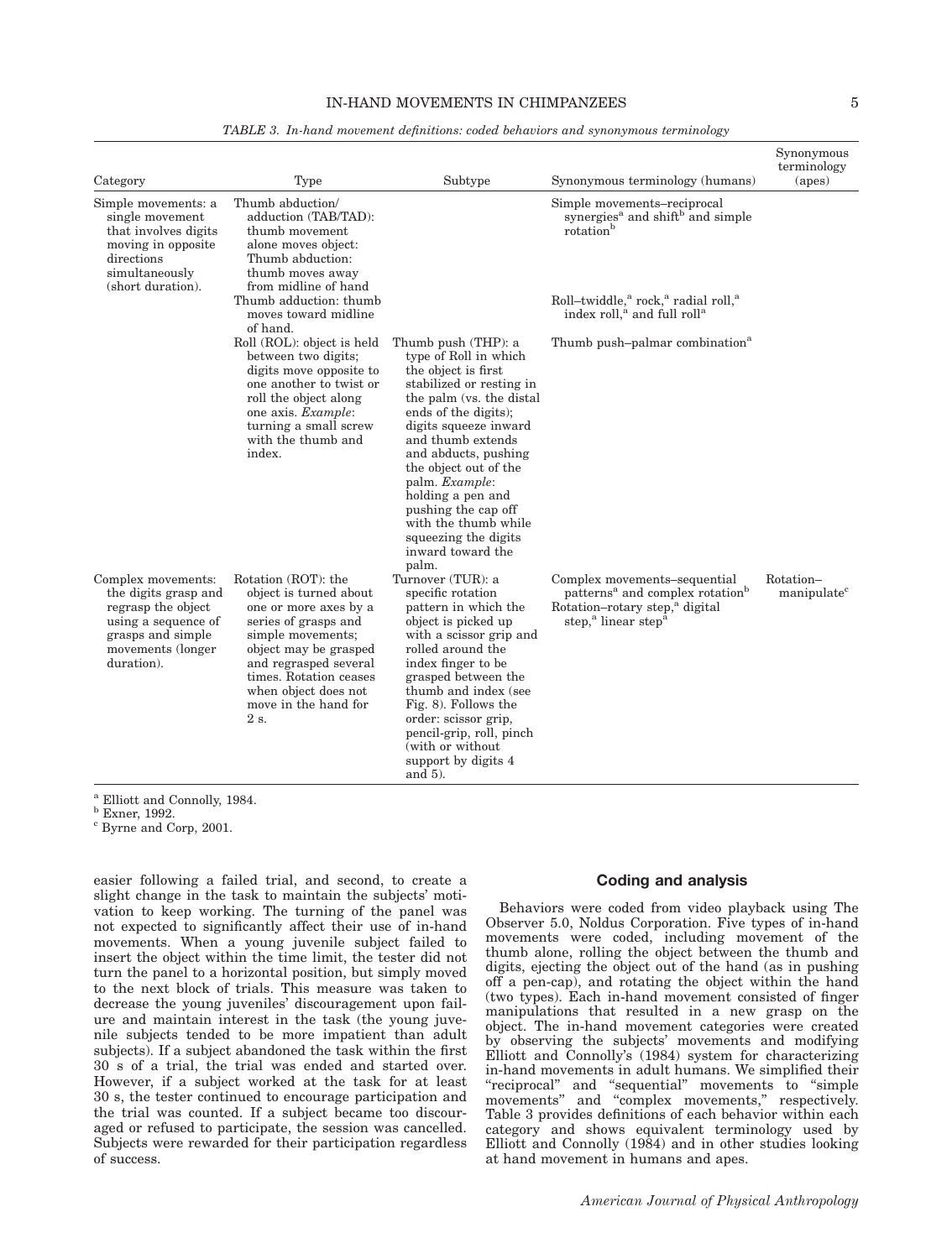# IN-HAND MOVEMENTS IN CHIMPANZEES 5

| Category                                                                                                                                        | Type                                                                                                                                                                                                                                                    | Subtype                                                                                                                                                                                                                                                                                                                                                                                        | Synonymous terminology (humans)                                                                                                                                                      | Synonymous<br>terminology<br>(apes)  |
|-------------------------------------------------------------------------------------------------------------------------------------------------|---------------------------------------------------------------------------------------------------------------------------------------------------------------------------------------------------------------------------------------------------------|------------------------------------------------------------------------------------------------------------------------------------------------------------------------------------------------------------------------------------------------------------------------------------------------------------------------------------------------------------------------------------------------|--------------------------------------------------------------------------------------------------------------------------------------------------------------------------------------|--------------------------------------|
| Simple movements: a<br>single movement<br>that involves digits<br>moving in opposite<br>directions<br>simultaneously<br>(short duration).       | Thumb abduction/<br>adduction (TAB/TAD):<br>thumb movement<br>alone moves object:<br>Thumb abduction:<br>thumb moves away<br>from midline of hand                                                                                                       |                                                                                                                                                                                                                                                                                                                                                                                                | Simple movements-reciprocal<br>synergies <sup>a</sup> and shift <sup>b</sup> and simple<br>rotation <sup>b</sup>                                                                     |                                      |
|                                                                                                                                                 | Thumb adduction: thumb<br>moves toward midline<br>of hand.                                                                                                                                                                                              |                                                                                                                                                                                                                                                                                                                                                                                                | Roll-twiddle, <sup>a</sup> rock, <sup>a</sup> radial roll, <sup>a</sup><br>index roll, <sup>a</sup> and full roll <sup>a</sup>                                                       |                                      |
|                                                                                                                                                 | Roll (ROL): object is held<br>between two digits;<br>digits move opposite to<br>one another to twist or<br>roll the object along<br>one axis. Example:<br>turning a small screw<br>with the thumb and<br>index.                                         | Thumb push (THP): a<br>type of Roll in which<br>the object is first<br>stabilized or resting in<br>the palm (vs. the distal<br>ends of the digits);<br>digits squeeze inward<br>and thumb extends<br>and abducts, pushing<br>the object out of the<br>palm. Example:<br>holding a pen and<br>pushing the cap off<br>with the thumb while<br>squeezing the digits<br>inward toward the<br>palm. | Thumb push-palmar combination <sup>a</sup>                                                                                                                                           |                                      |
| Complex movements:<br>the digits grasp and<br>regrasp the object<br>using a sequence of<br>grasps and simple<br>movements (longer<br>duration). | Rotation (ROT): the<br>object is turned about<br>one or more axes by a<br>series of grasps and<br>simple movements;<br>object may be grasped<br>and regrasped several<br>times. Rotation ceases<br>when object does not<br>move in the hand for<br>2 s. | Turnover (TUR): a<br>specific rotation<br>pattern in which the<br>object is picked up<br>with a scissor grip and<br>rolled around the<br>index finger to be<br>grasped between the<br>thumb and index (see<br>Fig. 8). Follows the<br>order: scissor grip,<br>pencil-grip, roll, pinch<br>(with or without)<br>support by digits 4<br>and $5$ ).                                               | Complex movements-sequential<br>patterns <sup>a</sup> and complex rotation <sup>b</sup><br>Rotation-rotary step, <sup>a</sup> digital<br>step, <sup>a</sup> linear step <sup>a</sup> | Rotation-<br>manipulate <sup>c</sup> |

TABLE 3. In-hand movement definitions: coded behaviors and synonymous terminology

<sup>a</sup> Elliott and Connolly, 1984.<br><sup>b</sup> Exner, 1992.<br><sup>c</sup> Byrne and Corp, 2001.

easier following a failed trial, and second, to create a slight change in the task to maintain the subjects' motivation to keep working. The turning of the panel was not expected to significantly affect their use of in-hand movements. When a young juvenile subject failed to insert the object within the time limit, the tester did not turn the panel to a horizontal position, but simply moved to the next block of trials. This measure was taken to decrease the young juveniles' discouragement upon failure and maintain interest in the task (the young juvenile subjects tended to be more impatient than adult subjects). If a subject abandoned the task within the first 30 s of a trial, the trial was ended and started over. However, if a subject worked at the task for at least 30 s, the tester continued to encourage participation and the trial was counted. If a subject became too discouraged or refused to participate, the session was cancelled. Subjects were rewarded for their participation regardless of success.

# Coding and analysis

Behaviors were coded from video playback using The Observer 5.0, Noldus Corporation. Five types of in-hand movements were coded, including movement of the thumb alone, rolling the object between the thumb and digits, ejecting the object out of the hand (as in pushing off a pen-cap), and rotating the object within the hand (two types). Each in-hand movement consisted of finger manipulations that resulted in a new grasp on the object. The in-hand movement categories were created by observing the subjects' movements and modifying Elliott and Connolly's (1984) system for characterizing in-hand movements in adult humans. We simplified their ''reciprocal'' and ''sequential'' movements to ''simple movements'' and ''complex movements,'' respectively. Table 3 provides definitions of each behavior within each category and shows equivalent terminology used by Elliott and Connolly (1984) and in other studies looking at hand movement in humans and apes.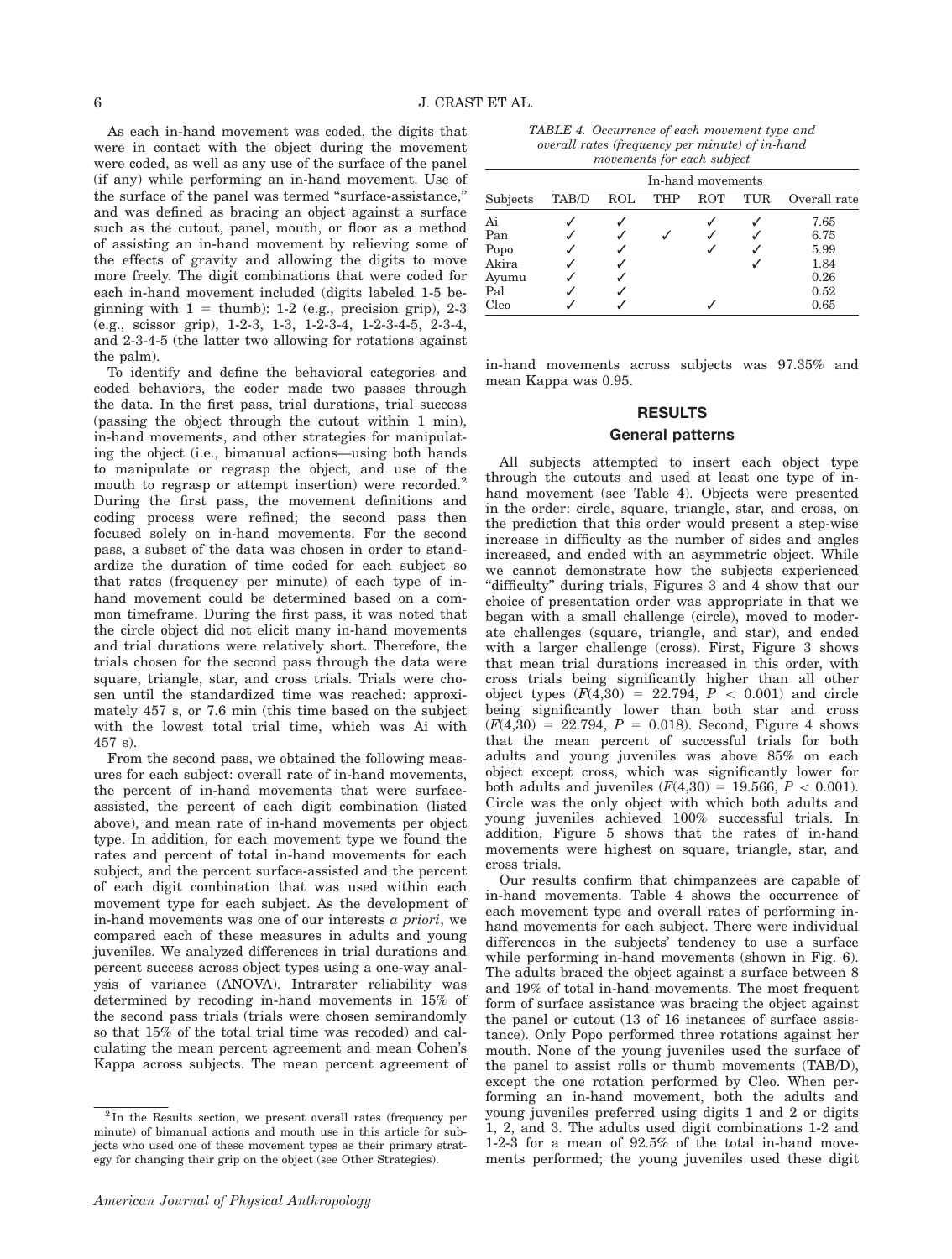As each in-hand movement was coded, the digits that were in contact with the object during the movement were coded, as well as any use of the surface of the panel (if any) while performing an in-hand movement. Use of the surface of the panel was termed ''surface-assistance,'' and was defined as bracing an object against a surface such as the cutout, panel, mouth, or floor as a method of assisting an in-hand movement by relieving some of the effects of gravity and allowing the digits to move more freely. The digit combinations that were coded for each in-hand movement included (digits labeled 1-5 beginning with  $1 =$  thumb): 1-2 (e.g., precision grip), 2-3 (e.g., scissor grip), 1-2-3, 1-3, 1-2-3-4, 1-2-3-4-5, 2-3-4, and 2-3-4-5 (the latter two allowing for rotations against the palm).

To identify and define the behavioral categories and coded behaviors, the coder made two passes through the data. In the first pass, trial durations, trial success (passing the object through the cutout within 1 min), in-hand movements, and other strategies for manipulating the object (i.e., bimanual actions—using both hands to manipulate or regrasp the object, and use of the mouth to regrasp or attempt insertion) were recorded.<sup>2</sup> During the first pass, the movement definitions and coding process were refined; the second pass then focused solely on in-hand movements. For the second pass, a subset of the data was chosen in order to standardize the duration of time coded for each subject so that rates (frequency per minute) of each type of inhand movement could be determined based on a common timeframe. During the first pass, it was noted that the circle object did not elicit many in-hand movements and trial durations were relatively short. Therefore, the trials chosen for the second pass through the data were square, triangle, star, and cross trials. Trials were chosen until the standardized time was reached: approximately 457 s, or 7.6 min (this time based on the subject with the lowest total trial time, which was Ai with 457 s).

From the second pass, we obtained the following measures for each subject: overall rate of in-hand movements, the percent of in-hand movements that were surfaceassisted, the percent of each digit combination (listed above), and mean rate of in-hand movements per object type. In addition, for each movement type we found the rates and percent of total in-hand movements for each subject, and the percent surface-assisted and the percent of each digit combination that was used within each movement type for each subject. As the development of in-hand movements was one of our interests a priori, we compared each of these measures in adults and young juveniles. We analyzed differences in trial durations and percent success across object types using a one-way analysis of variance (ANOVA). Intrarater reliability was determined by recoding in-hand movements in 15% of the second pass trials (trials were chosen semirandomly so that 15% of the total trial time was recoded) and calculating the mean percent agreement and mean Cohen's Kappa across subjects. The mean percent agreement of

| TABLE 4. Occurrence of each movement type and   |
|-------------------------------------------------|
| overall rates (frequency per minute) of in-hand |
| movements for each subject                      |

|          | In-hand movements |     |            |            |     |              |
|----------|-------------------|-----|------------|------------|-----|--------------|
| Subjects | TAB/D             | ROL | <b>THP</b> | <b>ROT</b> | TUR | Overall rate |
| Ai       |                   |     |            |            |     | 7.65         |
| Pan      |                   |     |            |            |     | 6.75         |
| Popo     |                   |     |            |            |     | 5.99         |
| Akira    |                   |     |            |            |     | 1.84         |
| Ayumu    |                   |     |            |            |     | 0.26         |
| Pal      |                   |     |            |            |     | 0.52         |
| Cleo     |                   |     |            |            |     | 0.65         |

in-hand movements across subjects was 97.35% and mean Kappa was 0.95.

# RESULTS

### General patterns

All subjects attempted to insert each object type through the cutouts and used at least one type of inhand movement (see Table 4). Objects were presented in the order: circle, square, triangle, star, and cross, on the prediction that this order would present a step-wise increase in difficulty as the number of sides and angles increased, and ended with an asymmetric object. While we cannot demonstrate how the subjects experienced ''difficulty'' during trials, Figures 3 and 4 show that our choice of presentation order was appropriate in that we began with a small challenge (circle), moved to moderate challenges (square, triangle, and star), and ended with a larger challenge (cross). First, Figure 3 shows that mean trial durations increased in this order, with cross trials being significantly higher than all other object types  $(F(4,30) = 22.794, P < 0.001)$  and circle being significantly lower than both star and cross  $(F(4,30) = 22.794, P = 0.018)$ . Second, Figure 4 shows that the mean percent of successful trials for both adults and young juveniles was above 85% on each object except cross, which was significantly lower for both adults and juveniles  $(F(4,30) = 19.566, P < 0.001)$ . Circle was the only object with which both adults and young juveniles achieved 100% successful trials. In addition, Figure 5 shows that the rates of in-hand movements were highest on square, triangle, star, and cross trials.

Our results confirm that chimpanzees are capable of in-hand movements. Table 4 shows the occurrence of each movement type and overall rates of performing inhand movements for each subject. There were individual differences in the subjects' tendency to use a surface while performing in-hand movements (shown in Fig. 6). The adults braced the object against a surface between 8 and 19% of total in-hand movements. The most frequent form of surface assistance was bracing the object against the panel or cutout (13 of 16 instances of surface assistance). Only Popo performed three rotations against her mouth. None of the young juveniles used the surface of the panel to assist rolls or thumb movements (TAB/D), except the one rotation performed by Cleo. When performing an in-hand movement, both the adults and young juveniles preferred using digits 1 and 2 or digits 1, 2, and 3. The adults used digit combinations 1-2 and 1-2-3 for a mean of 92.5% of the total in-hand movements performed; the young juveniles used these digit

 $2$ In the Results section, we present overall rates (frequency per minute) of bimanual actions and mouth use in this article for subjects who used one of these movement types as their primary strategy for changing their grip on the object (see Other Strategies).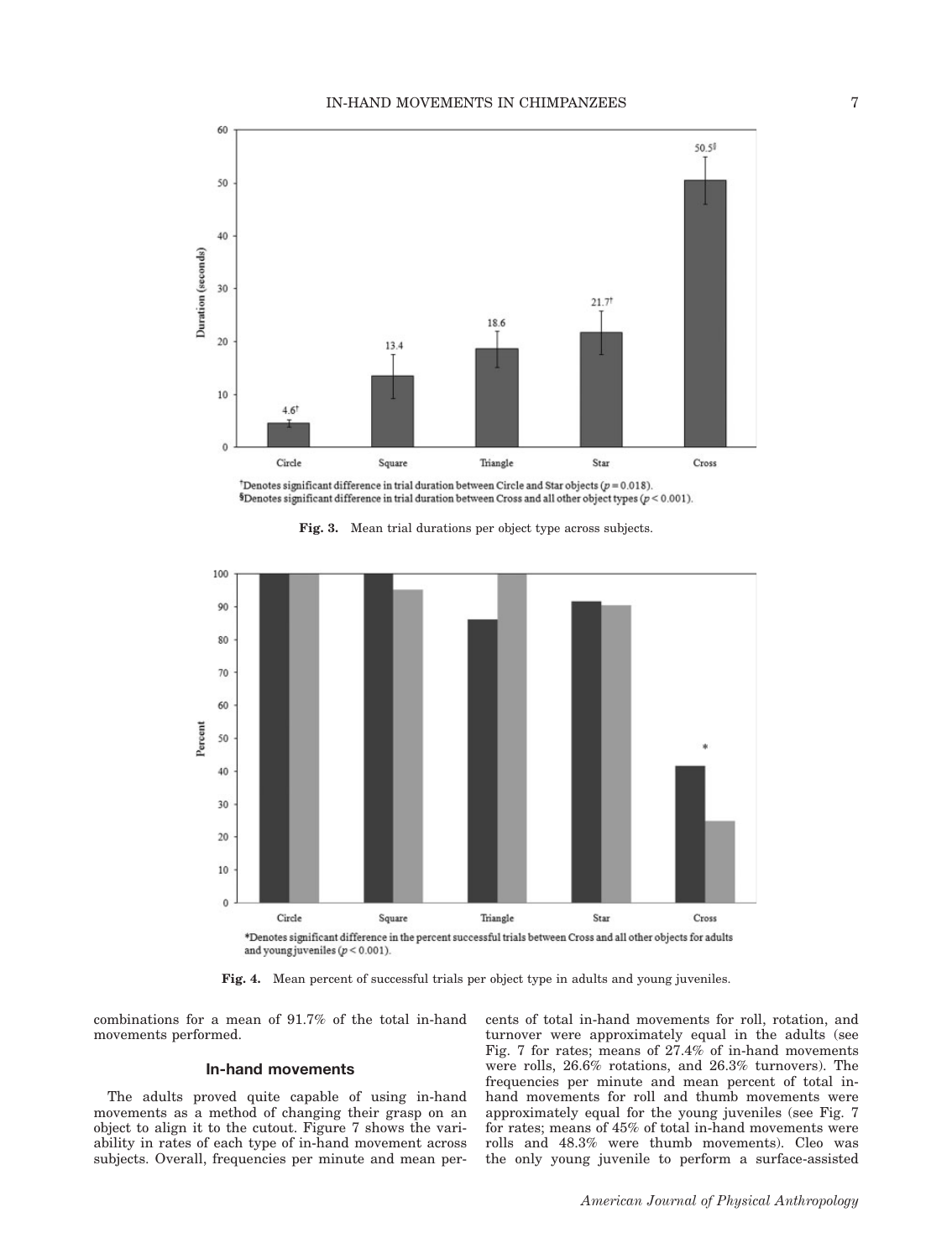

Denotes significant difference in trial duration between Circle and Star objects ( $p = 0.018$ ).  $$D$ enotes significant difference in trial duration between Cross and all other object types ( $p < 0.001$ ).





Fig. 4. Mean percent of successful trials per object type in adults and young juveniles.

combinations for a mean of 91.7% of the total in-hand movements performed.

# In-hand movements

The adults proved quite capable of using in-hand movements as a method of changing their grasp on an object to align it to the cutout. Figure 7 shows the variability in rates of each type of in-hand movement across subjects. Overall, frequencies per minute and mean percents of total in-hand movements for roll, rotation, and turnover were approximately equal in the adults (see Fig. 7 for rates; means of 27.4% of in-hand movements were rolls, 26.6% rotations, and 26.3% turnovers). The frequencies per minute and mean percent of total inhand movements for roll and thumb movements were approximately equal for the young juveniles (see Fig. 7 for rates; means of 45% of total in-hand movements were rolls and 48.3% were thumb movements). Cleo was the only young juvenile to perform a surface-assisted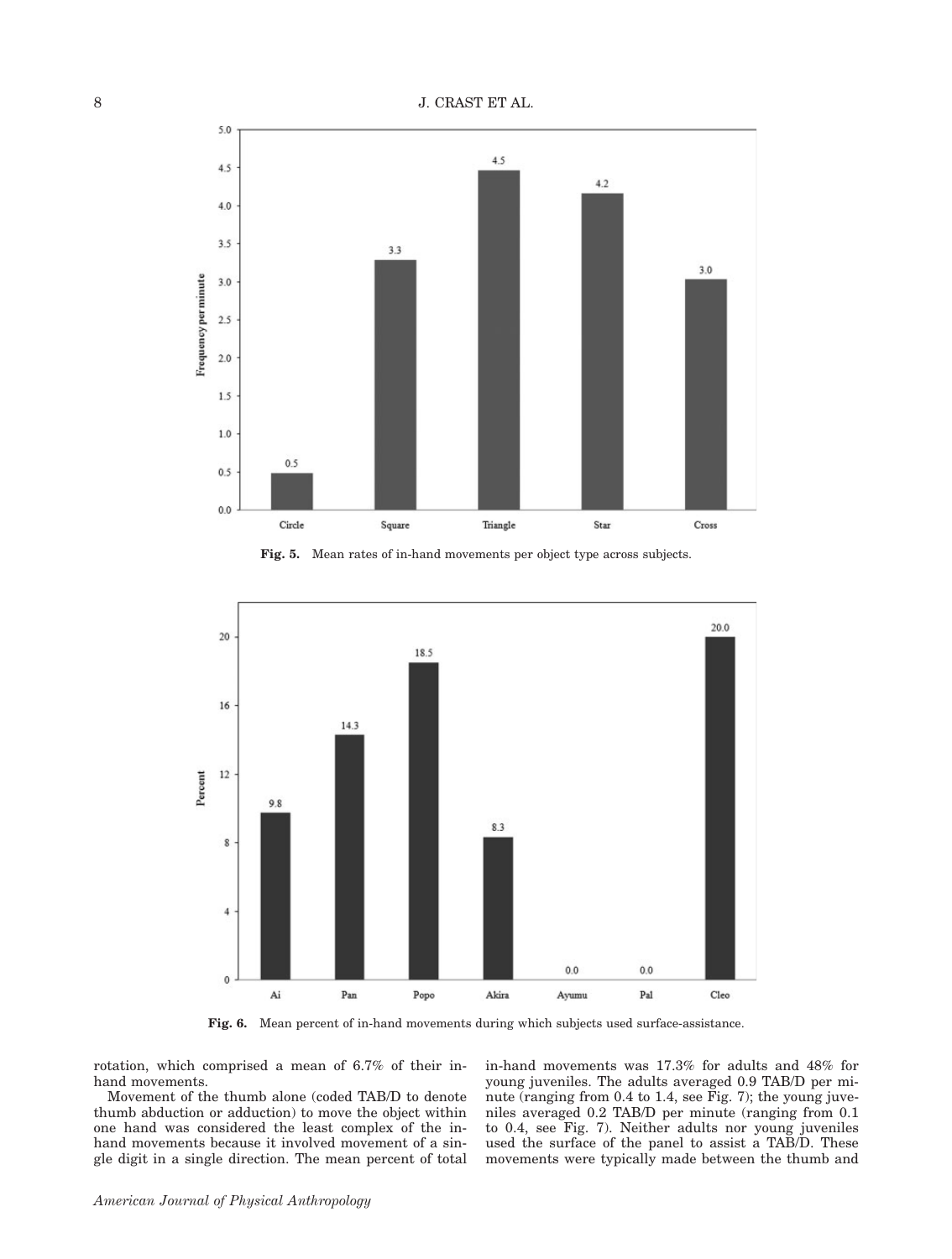

Fig. 5. Mean rates of in-hand movements per object type across subjects.



Fig. 6. Mean percent of in-hand movements during which subjects used surface-assistance.

rotation, which comprised a mean of 6.7% of their inhand movements.

Movement of the thumb alone (coded TAB/D to denote thumb abduction or adduction) to move the object within one hand was considered the least complex of the inhand movements because it involved movement of a single digit in a single direction. The mean percent of total in-hand movements was 17.3% for adults and 48% for young juveniles. The adults averaged 0.9 TAB/D per minute (ranging from 0.4 to 1.4, see Fig. 7); the young juveniles averaged 0.2 TAB/D per minute (ranging from 0.1 to 0.4, see Fig. 7). Neither adults nor young juveniles used the surface of the panel to assist a TAB/D. These movements were typically made between the thumb and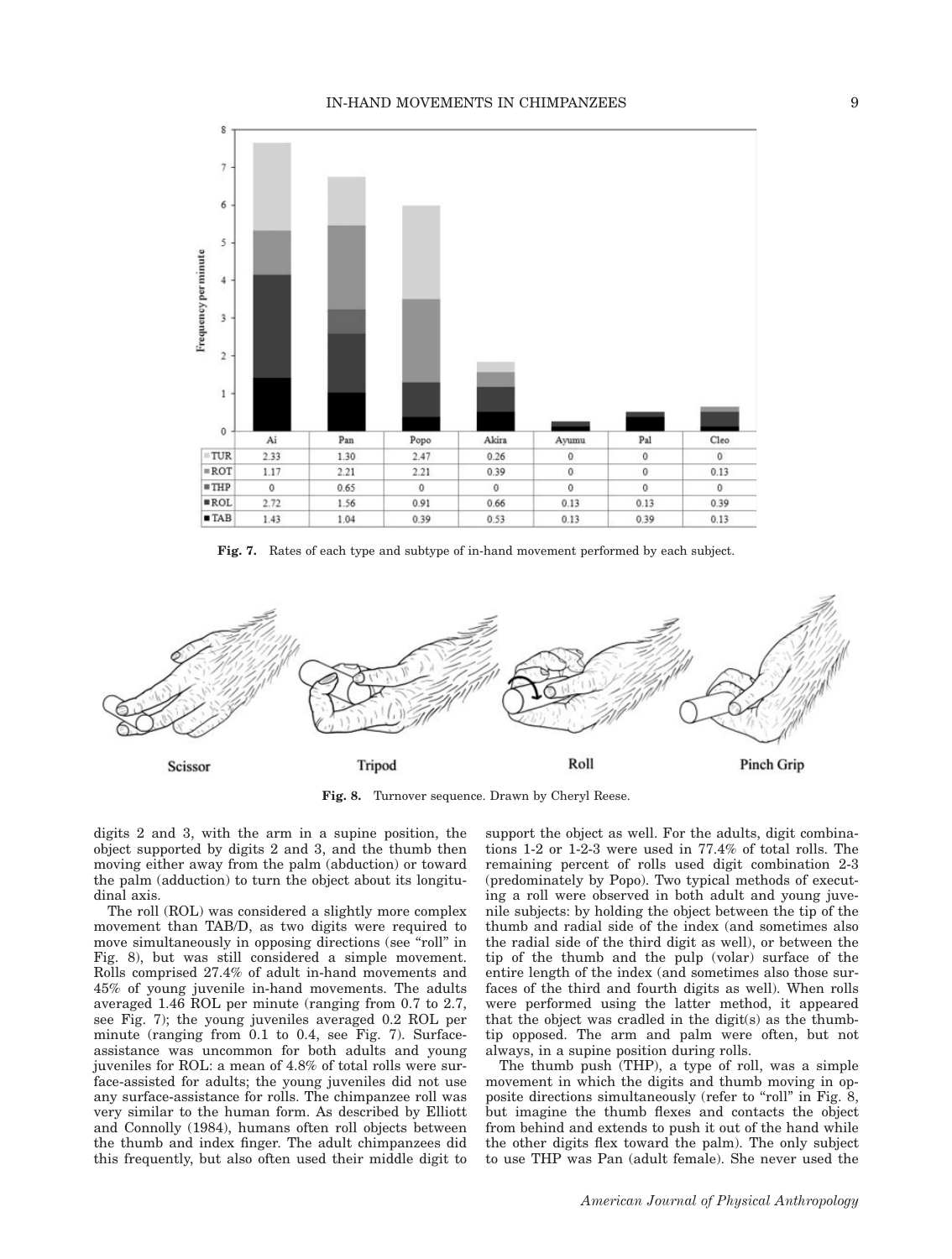

Fig. 7. Rates of each type and subtype of in-hand movement performed by each subject.



Fig. 8. Turnover sequence. Drawn by Cheryl Reese.

digits 2 and 3, with the arm in a supine position, the object supported by digits 2 and 3, and the thumb then moving either away from the palm (abduction) or toward the palm (adduction) to turn the object about its longitudinal axis.

The roll (ROL) was considered a slightly more complex movement than TAB/D, as two digits were required to move simultaneously in opposing directions (see ''roll'' in Fig. 8), but was still considered a simple movement. Rolls comprised 27.4% of adult in-hand movements and 45% of young juvenile in-hand movements. The adults averaged 1.46 ROL per minute (ranging from 0.7 to 2.7, see Fig. 7); the young juveniles averaged 0.2 ROL per minute (ranging from 0.1 to 0.4, see Fig. 7). Surfaceassistance was uncommon for both adults and young juveniles for ROL: a mean of 4.8% of total rolls were surface-assisted for adults; the young juveniles did not use any surface-assistance for rolls. The chimpanzee roll was very similar to the human form. As described by Elliott and Connolly (1984), humans often roll objects between the thumb and index finger. The adult chimpanzees did this frequently, but also often used their middle digit to support the object as well. For the adults, digit combinations 1-2 or 1-2-3 were used in 77.4% of total rolls. The remaining percent of rolls used digit combination 2-3 (predominately by Popo). Two typical methods of executing a roll were observed in both adult and young juvenile subjects: by holding the object between the tip of the thumb and radial side of the index (and sometimes also the radial side of the third digit as well), or between the tip of the thumb and the pulp (volar) surface of the entire length of the index (and sometimes also those surfaces of the third and fourth digits as well). When rolls were performed using the latter method, it appeared that the object was cradled in the digit(s) as the thumbtip opposed. The arm and palm were often, but not always, in a supine position during rolls.

The thumb push (THP), a type of roll, was a simple movement in which the digits and thumb moving in opposite directions simultaneously (refer to "roll" in Fig. 8, but imagine the thumb flexes and contacts the object from behind and extends to push it out of the hand while the other digits flex toward the palm). The only subject to use THP was Pan (adult female). She never used the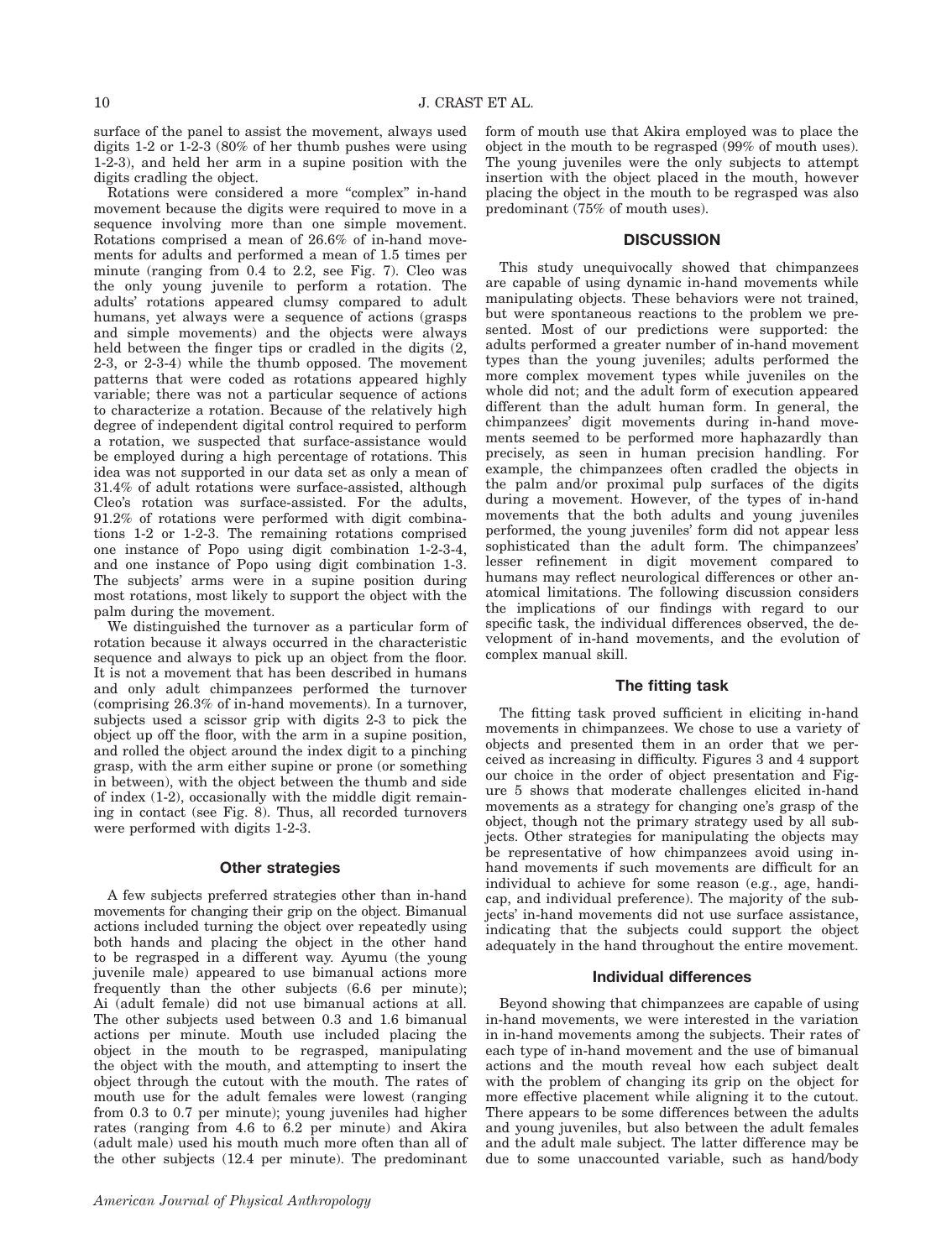surface of the panel to assist the movement, always used digits 1-2 or 1-2-3 (80% of her thumb pushes were using 1-2-3), and held her arm in a supine position with the digits cradling the object.

Rotations were considered a more ''complex'' in-hand movement because the digits were required to move in a sequence involving more than one simple movement. Rotations comprised a mean of 26.6% of in-hand movements for adults and performed a mean of 1.5 times per minute (ranging from 0.4 to 2.2, see Fig. 7). Cleo was the only young juvenile to perform a rotation. The adults' rotations appeared clumsy compared to adult humans, yet always were a sequence of actions (grasps and simple movements) and the objects were always held between the finger tips or cradled in the digits (2, 2-3, or 2-3-4) while the thumb opposed. The movement patterns that were coded as rotations appeared highly variable; there was not a particular sequence of actions to characterize a rotation. Because of the relatively high degree of independent digital control required to perform a rotation, we suspected that surface-assistance would be employed during a high percentage of rotations. This idea was not supported in our data set as only a mean of 31.4% of adult rotations were surface-assisted, although Cleo's rotation was surface-assisted. For the adults, 91.2% of rotations were performed with digit combinations 1-2 or 1-2-3. The remaining rotations comprised one instance of Popo using digit combination 1-2-3-4, and one instance of Popo using digit combination 1-3. The subjects' arms were in a supine position during most rotations, most likely to support the object with the palm during the movement.

We distinguished the turnover as a particular form of rotation because it always occurred in the characteristic sequence and always to pick up an object from the floor. It is not a movement that has been described in humans and only adult chimpanzees performed the turnover (comprising 26.3% of in-hand movements). In a turnover, subjects used a scissor grip with digits 2-3 to pick the object up off the floor, with the arm in a supine position, and rolled the object around the index digit to a pinching grasp, with the arm either supine or prone (or something in between), with the object between the thumb and side of index (1-2), occasionally with the middle digit remaining in contact (see Fig. 8). Thus, all recorded turnovers were performed with digits 1-2-3.

### Other strategies

A few subjects preferred strategies other than in-hand movements for changing their grip on the object. Bimanual actions included turning the object over repeatedly using both hands and placing the object in the other hand to be regrasped in a different way. Ayumu (the young juvenile male) appeared to use bimanual actions more frequently than the other subjects (6.6 per minute); Ai (adult female) did not use bimanual actions at all. The other subjects used between 0.3 and 1.6 bimanual actions per minute. Mouth use included placing the object in the mouth to be regrasped, manipulating the object with the mouth, and attempting to insert the object through the cutout with the mouth. The rates of mouth use for the adult females were lowest (ranging from 0.3 to 0.7 per minute); young juveniles had higher rates (ranging from 4.6 to 6.2 per minute) and Akira (adult male) used his mouth much more often than all of the other subjects (12.4 per minute). The predominant

form of mouth use that Akira employed was to place the object in the mouth to be regrasped (99% of mouth uses). The young juveniles were the only subjects to attempt insertion with the object placed in the mouth, however placing the object in the mouth to be regrasped was also predominant (75% of mouth uses).

# **DISCUSSION**

This study unequivocally showed that chimpanzees are capable of using dynamic in-hand movements while manipulating objects. These behaviors were not trained, but were spontaneous reactions to the problem we presented. Most of our predictions were supported: the adults performed a greater number of in-hand movement types than the young juveniles; adults performed the more complex movement types while juveniles on the whole did not; and the adult form of execution appeared different than the adult human form. In general, the chimpanzees' digit movements during in-hand movements seemed to be performed more haphazardly than precisely, as seen in human precision handling. For example, the chimpanzees often cradled the objects in the palm and/or proximal pulp surfaces of the digits during a movement. However, of the types of in-hand movements that the both adults and young juveniles performed, the young juveniles' form did not appear less sophisticated than the adult form. The chimpanzees' lesser refinement in digit movement compared to humans may reflect neurological differences or other anatomical limitations. The following discussion considers the implications of our findings with regard to our specific task, the individual differences observed, the development of in-hand movements, and the evolution of complex manual skill.

### The fitting task

The fitting task proved sufficient in eliciting in-hand movements in chimpanzees. We chose to use a variety of objects and presented them in an order that we perceived as increasing in difficulty. Figures 3 and 4 support our choice in the order of object presentation and Figure 5 shows that moderate challenges elicited in-hand movements as a strategy for changing one's grasp of the object, though not the primary strategy used by all subjects. Other strategies for manipulating the objects may be representative of how chimpanzees avoid using inhand movements if such movements are difficult for an individual to achieve for some reason (e.g., age, handicap, and individual preference). The majority of the subjects' in-hand movements did not use surface assistance, indicating that the subjects could support the object adequately in the hand throughout the entire movement.

### Individual differences

Beyond showing that chimpanzees are capable of using in-hand movements, we were interested in the variation in in-hand movements among the subjects. Their rates of each type of in-hand movement and the use of bimanual actions and the mouth reveal how each subject dealt with the problem of changing its grip on the object for more effective placement while aligning it to the cutout. There appears to be some differences between the adults and young juveniles, but also between the adult females and the adult male subject. The latter difference may be due to some unaccounted variable, such as hand/body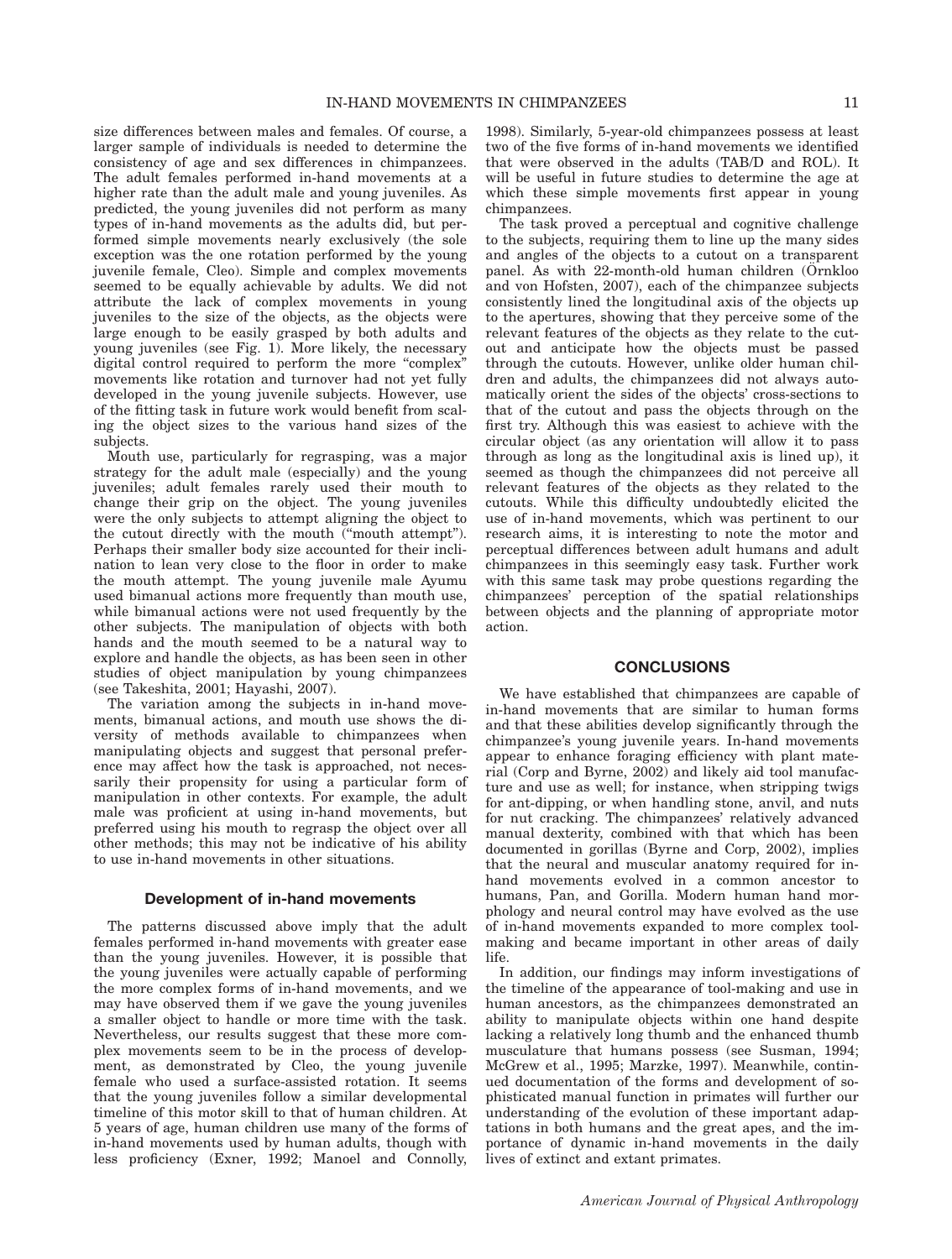size differences between males and females. Of course, a larger sample of individuals is needed to determine the consistency of age and sex differences in chimpanzees. The adult females performed in-hand movements at a higher rate than the adult male and young juveniles. As predicted, the young juveniles did not perform as many types of in-hand movements as the adults did, but performed simple movements nearly exclusively (the sole exception was the one rotation performed by the young juvenile female, Cleo). Simple and complex movements seemed to be equally achievable by adults. We did not attribute the lack of complex movements in young juveniles to the size of the objects, as the objects were large enough to be easily grasped by both adults and young juveniles (see Fig. 1). More likely, the necessary digital control required to perform the more ''complex'' movements like rotation and turnover had not yet fully developed in the young juvenile subjects. However, use of the fitting task in future work would benefit from scaling the object sizes to the various hand sizes of the subjects.

Mouth use, particularly for regrasping, was a major strategy for the adult male (especially) and the young juveniles; adult females rarely used their mouth to change their grip on the object. The young juveniles were the only subjects to attempt aligning the object to the cutout directly with the mouth (''mouth attempt''). Perhaps their smaller body size accounted for their inclination to lean very close to the floor in order to make the mouth attempt. The young juvenile male Ayumu used bimanual actions more frequently than mouth use, while bimanual actions were not used frequently by the other subjects. The manipulation of objects with both hands and the mouth seemed to be a natural way to explore and handle the objects, as has been seen in other studies of object manipulation by young chimpanzees (see Takeshita, 2001; Hayashi, 2007).

The variation among the subjects in in-hand movements, bimanual actions, and mouth use shows the diversity of methods available to chimpanzees when manipulating objects and suggest that personal preference may affect how the task is approached, not necessarily their propensity for using a particular form of manipulation in other contexts. For example, the adult male was proficient at using in-hand movements, but preferred using his mouth to regrasp the object over all other methods; this may not be indicative of his ability to use in-hand movements in other situations.

# Development of in-hand movements

The patterns discussed above imply that the adult females performed in-hand movements with greater ease than the young juveniles. However, it is possible that the young juveniles were actually capable of performing the more complex forms of in-hand movements, and we may have observed them if we gave the young juveniles a smaller object to handle or more time with the task. Nevertheless, our results suggest that these more complex movements seem to be in the process of development, as demonstrated by Cleo, the young juvenile female who used a surface-assisted rotation. It seems that the young juveniles follow a similar developmental timeline of this motor skill to that of human children. At 5 years of age, human children use many of the forms of in-hand movements used by human adults, though with less proficiency (Exner, 1992; Manoel and Connolly,

1998). Similarly, 5-year-old chimpanzees possess at least two of the five forms of in-hand movements we identified that were observed in the adults (TAB/D and ROL). It will be useful in future studies to determine the age at which these simple movements first appear in young chimpanzees.

The task proved a perceptual and cognitive challenge to the subjects, requiring them to line up the many sides and angles of the objects to a cutout on a transparent panel. As with 22-month-old human children (Örnkloo and von Hofsten, 2007), each of the chimpanzee subjects consistently lined the longitudinal axis of the objects up to the apertures, showing that they perceive some of the relevant features of the objects as they relate to the cutout and anticipate how the objects must be passed through the cutouts. However, unlike older human children and adults, the chimpanzees did not always automatically orient the sides of the objects' cross-sections to that of the cutout and pass the objects through on the first try. Although this was easiest to achieve with the circular object (as any orientation will allow it to pass through as long as the longitudinal axis is lined up), it seemed as though the chimpanzees did not perceive all relevant features of the objects as they related to the cutouts. While this difficulty undoubtedly elicited the use of in-hand movements, which was pertinent to our research aims, it is interesting to note the motor and perceptual differences between adult humans and adult chimpanzees in this seemingly easy task. Further work with this same task may probe questions regarding the chimpanzees' perception of the spatial relationships between objects and the planning of appropriate motor action.

# **CONCLUSIONS**

We have established that chimpanzees are capable of in-hand movements that are similar to human forms and that these abilities develop significantly through the chimpanzee's young juvenile years. In-hand movements appear to enhance foraging efficiency with plant material (Corp and Byrne, 2002) and likely aid tool manufacture and use as well; for instance, when stripping twigs for ant-dipping, or when handling stone, anvil, and nuts for nut cracking. The chimpanzees' relatively advanced manual dexterity, combined with that which has been documented in gorillas (Byrne and Corp, 2002), implies that the neural and muscular anatomy required for inhand movements evolved in a common ancestor to humans, Pan, and Gorilla. Modern human hand morphology and neural control may have evolved as the use of in-hand movements expanded to more complex toolmaking and became important in other areas of daily life.

In addition, our findings may inform investigations of the timeline of the appearance of tool-making and use in human ancestors, as the chimpanzees demonstrated an ability to manipulate objects within one hand despite lacking a relatively long thumb and the enhanced thumb musculature that humans possess (see Susman, 1994; McGrew et al., 1995; Marzke, 1997). Meanwhile, continued documentation of the forms and development of sophisticated manual function in primates will further our understanding of the evolution of these important adaptations in both humans and the great apes, and the importance of dynamic in-hand movements in the daily lives of extinct and extant primates.